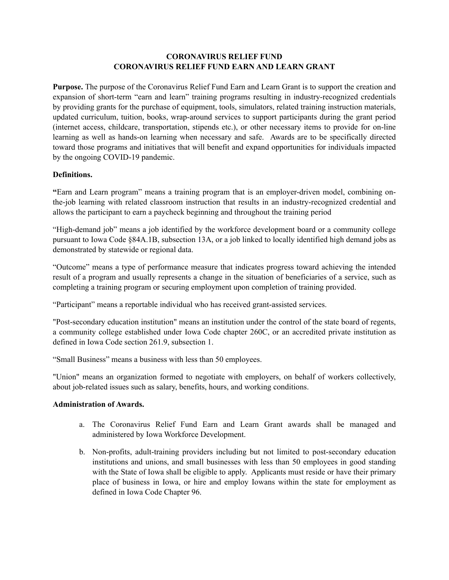## **CORONAVIRUS RELIEF FUND CORONAVIRUS RELIEF FUND EARN AND LEARN GRANT**

**Purpose.** The purpose of the Coronavirus Relief Fund Earn and Learn Grant is to support the creation and expansion of short-term "earn and learn" training programs resulting in industry-recognized credentials by providing grants for the purchase of equipment, tools, simulators, related training instruction materials, updated curriculum, tuition, books, wrap-around services to support participants during the grant period (internet access, childcare, transportation, stipends etc.), or other necessary items to provide for on-line learning as well as hands-on learning when necessary and safe. Awards are to be specifically directed toward those programs and initiatives that will benefit and expand opportunities for individuals impacted by the ongoing COVID-19 pandemic.

## **Definitions.**

**"**Earn and Learn program" means a training program that is an employer-driven model, combining onthe-job learning with related classroom instruction that results in an industry-recognized credential and allows the participant to earn a paycheck beginning and throughout the training period

"High-demand job" means a job identified by the workforce development board or a community college pursuant to Iowa Code §84A.1B, subsection 13A, or a job linked to locally identified high demand jobs as demonstrated by statewide or regional data.

"Outcome" means a type of performance measure that indicates progress toward achieving the intended result of a program and usually represents a change in the situation of beneficiaries of a service, such as completing a training program or securing employment upon completion of training provided.

"Participant" means a reportable individual who has received grant-assisted services.

"Post-secondary education institution" means an institution under the control of the state board of regents, a community college established under Iowa Code chapter 260C, or an accredited private institution as defined in Iowa Code section 261.9, subsection 1.

"Small Business" means a business with less than 50 employees.

"Union" means an organization formed to negotiate with employers, on behalf of workers collectively, about job-related issues such as salary, benefits, hours, and working conditions.

## **Administration of Awards.**

- a. The Coronavirus Relief Fund Earn and Learn Grant awards shall be managed and administered by Iowa Workforce Development.
- b. Non-profits, adult-training providers including but not limited to post-secondary education institutions and unions, and small businesses with less than 50 employees in good standing with the State of Iowa shall be eligible to apply. Applicants must reside or have their primary place of business in Iowa, or hire and employ Iowans within the state for employment as defined in Iowa Code Chapter 96.